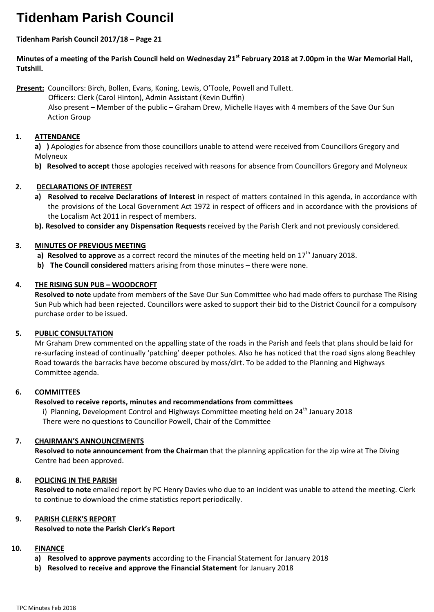# **Tidenham Parish Council**

# **Tidenham Parish Council 2017/18 – Page 21**

**Minutes of a meeting of the Parish Council held on Wednesday 21st February 2018 at 7.00pm in the War Memorial Hall, Tutshill.**

**Present:** Councillors: Birch, Bollen, Evans, Koning, Lewis, O'Toole, Powell and Tullett.

 Officers: Clerk (Carol Hinton), Admin Assistant (Kevin Duffin) Also present – Member of the public – Graham Drew, Michelle Hayes with 4 members of the Save Our Sun Action Group

# **1. ATTENDANCE**

**a) )** Apologies for absence from those councillors unable to attend were received from Councillors Gregory and Molyneux

**b) Resolved to accept** those apologies received with reasons for absence from Councillors Gregory and Molyneux

# **2. DECLARATIONS OF INTEREST**

- **a) Resolved to receive Declarations of Interest** in respect of matters contained in this agenda, in accordance with the provisions of the Local Government Act 1972 in respect of officers and in accordance with the provisions of the Localism Act 2011 in respect of members.
- **b). Resolved to consider any Dispensation Requests** received by the Parish Clerk and not previously considered.

# **3. MINUTES OF PREVIOUS MEETING**

- **a) Resolved to approve** as a correct record the minutes of the meeting held on 17<sup>th</sup> January 2018.
- **b) The Council considered** matters arising from those minutes there were none.

# **4. THE RISING SUN PUB – WOODCROFT**

**Resolved to note** update from members of the Save Our Sun Committee who had made offers to purchase The Rising Sun Pub which had been rejected. Councillors were asked to support their bid to the District Council for a compulsory purchase order to be issued.

# **5. PUBLIC CONSULTATION**

Mr Graham Drew commented on the appalling state of the roads in the Parish and feels that plans should be laid for re-surfacing instead of continually 'patching' deeper potholes. Also he has noticed that the road signs along Beachley Road towards the barracks have become obscured by moss/dirt. To be added to the Planning and Highways Committee agenda.

### **6. COMMITTEES**

### **Resolved to receive reports, minutes and recommendations from committees**

i) Planning, Development Control and Highways Committee meeting held on  $24<sup>th</sup>$  January 2018 There were no questions to Councillor Powell, Chair of the Committee

### **7. CHAIRMAN'S ANNOUNCEMENTS**

**Resolved to note announcement from the Chairman** that the planning application for the zip wire at The Diving Centre had been approved.

### **8. POLICING IN THE PARISH**

**Resolved to note** emailed report by PC Henry Davies who due to an incident was unable to attend the meeting. Clerk to continue to download the crime statistics report periodically.

### **9. PARISH CLERK'S REPORT**

### **Resolved to note the Parish Clerk's Report**

### **10. FINANCE**

- **a) Resolved to approve payments** according to the Financial Statement for January 2018
- **b) Resolved to receive and approve the Financial Statement** for January 2018